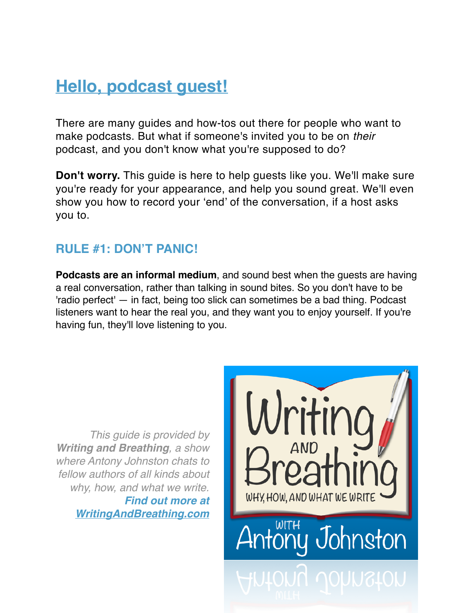# **Hello, podcast guest!**

There are many guides and how-tos out there for people who want to make podcasts. But what if someone's invited you to be on *their* podcast, and you don't know what you're supposed to do?

**Don't worry.** This guide is here to help guests like you. We'll make sure you're ready for your appearance, and help you sound great. We'll even show you how to record your 'end' of the conversation, if a host asks you to.

#### **RULE #1: DON'T PANIC!**

**Podcasts are an informal medium**, and sound best when the guests are having a real conversation, rather than talking in sound bites. So you don't have to be 'radio perfect' — in fact, being too slick can sometimes be a bad thing. Podcast listeners want to hear the real you, and they want you to enjoy yourself. If you're having fun, they'll love listening to you.

*This guide is provided by Writing and Breathing, a show where Antony Johnston chats to fellow authors of all kinds about why, how, and what we write. Find out more at [WritingAndBreathing.com](http://WritingAndBreathing.com)*

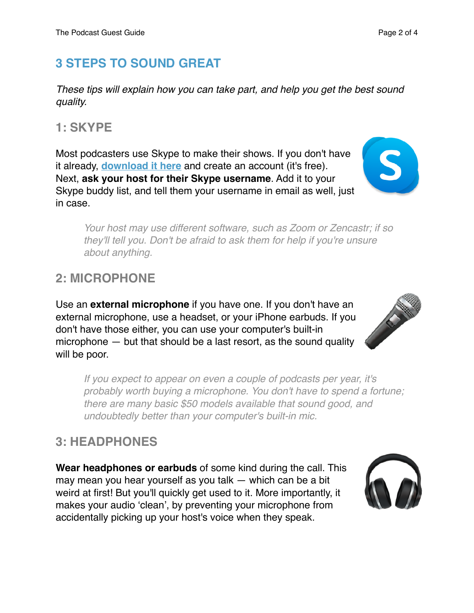## **3 STEPS TO SOUND GREAT**

*These tips will explain how you can take part, and help you get the best sound quality.*

## **1: SKYPE**

Most podcasters use Skype to make their shows. If you don't have it already, **[download it here](http://skype.com/)** and create an account (it's free). Next, **ask your host for their Skype username**. Add it to your Skype buddy list, and tell them your username in email as well, just in case.

*Your host may use different software, such as Zoom or Zencastr; if so they'll tell you. Don't be afraid to ask them for help if you're unsure about anything.*

## **2: MICROPHONE**

Use an **external microphone** if you have one. If you don't have an external microphone, use a headset, or your iPhone earbuds. If you don't have those either, you can use your computer's built-in microphone — but that should be a last resort, as the sound quality will be poor.

*If you expect to appear on even a couple of podcasts per year, it's probably worth buying a microphone. You don't have to spend a fortune; there are many basic \$50 models available that sound good, and undoubtedly better than your computer's built-in mic.*

## **3: HEADPHONES**

**Wear headphones or earbuds** of some kind during the call. This may mean you hear yourself as you talk — which can be a bit weird at first! But you'll quickly get used to it. More importantly, it makes your audio 'clean', by preventing your microphone from accidentally picking up your host's voice when they speak.







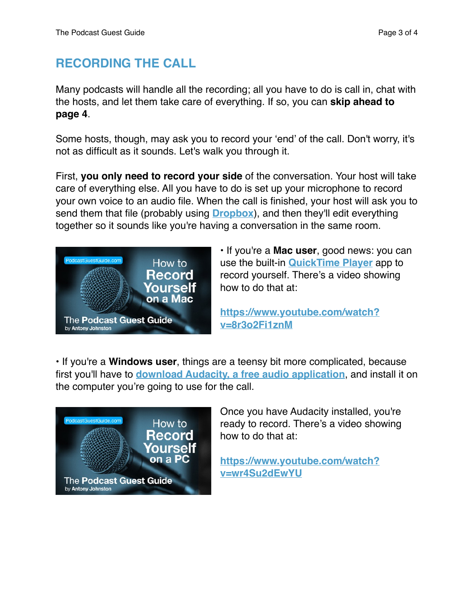#### **RECORDING THE CALL**

Many podcasts will handle all the recording; all you have to do is call in, chat with the hosts, and let them take care of everything. If so, you can **skip ahead to page 4**.

Some hosts, though, may ask you to record your 'end' of the call. Don't worry, it's not as difficult as it sounds. Let's walk you through it.

First, **you only need to record your side** of the conversation. Your host will take care of everything else. All you have to do is set up your microphone to record your own voice to an audio file. When the call is finished, your host will ask you to send them that file (probably using **[Dropbox](http://dropbox.com/)**), and then they'll edit everything together so it sounds like you're having a conversation in the same room.



• If you're a **Mac user**, good news: you can use the built-in **[QuickTime Player](http://www.apple.com/osx/)** app to record yourself. There's a video showing how to do that at:

**[https://www.youtube.com/watch?](https://www.youtube.com/watch?v=8r3o2Fi1znM) [v=8r3o2Fi1znM](https://www.youtube.com/watch?v=8r3o2Fi1znM)**

• If you're a **Windows user**, things are a teensy bit more complicated, because first you'll have to **[download Audacity, a free audio application](http://audacityteam.org)**, and install it on the computer you're going to use for the call.



Once you have Audacity installed, you're ready to record. There's a video showing how to do that at:

**[https://www.youtube.com/watch?](https://www.youtube.com/watch?v=wr4Su2dEwYU) [v=wr4Su2dEwYU](https://www.youtube.com/watch?v=wr4Su2dEwYU)**